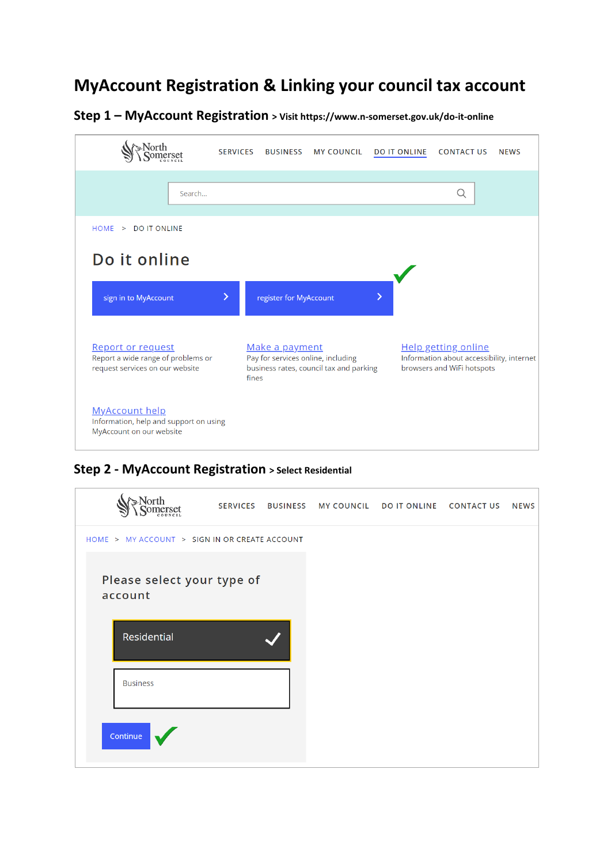# **MyAccount Registration & Linking your council tax account**

**Step 1 – MyAccount Registration > Visit https://www.n-somerset.gov.uk/do-it-online**

|                                                                                             | <b>SERVICES</b><br><b>BUSINESS</b> | <b>MY COUNCIL</b>                                                             | <b>DO IT ONLINE</b> | <b>CONTACT US</b>                                                                                     | <b>NEWS</b> |
|---------------------------------------------------------------------------------------------|------------------------------------|-------------------------------------------------------------------------------|---------------------|-------------------------------------------------------------------------------------------------------|-------------|
| Search                                                                                      |                                    |                                                                               |                     | Q                                                                                                     |             |
| HOME > DO IT ONLINE                                                                         |                                    |                                                                               |                     |                                                                                                       |             |
| Do it online                                                                                |                                    |                                                                               |                     |                                                                                                       |             |
| sign in to MyAccount                                                                        | X<br>register for MyAccount        |                                                                               | ⋟                   |                                                                                                       |             |
| Report or request<br>Report a wide range of problems or<br>request services on our website  | Make a payment<br>fines            | Pay for services online, including<br>business rates, council tax and parking |                     | <b>Help getting online</b><br>Information about accessibility, internet<br>browsers and WiFi hotspots |             |
| <b>MyAccount help</b><br>Information, help and support on using<br>MyAccount on our website |                                    |                                                                               |                     |                                                                                                       |             |

**Step 2 - MyAccount Registration > Select Residential** 

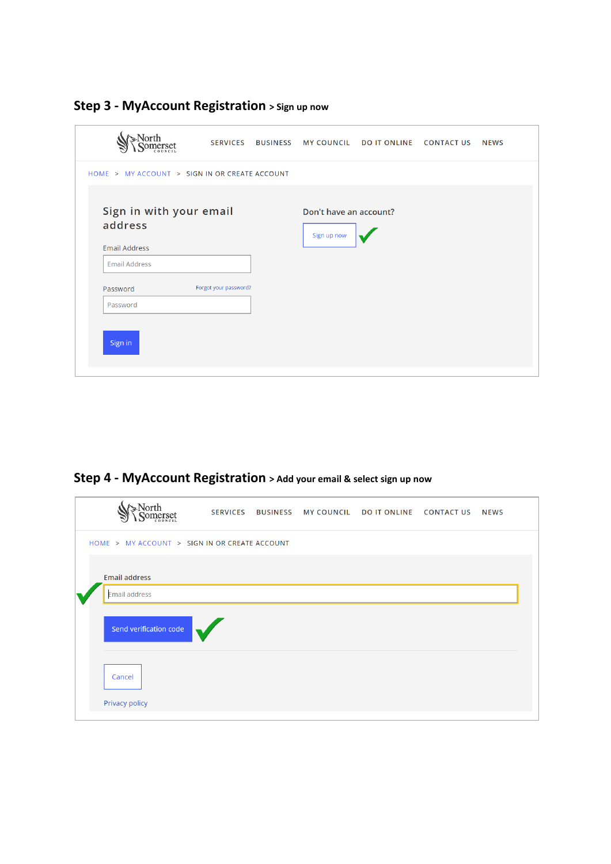|                                 |                                                 | <b>SERVICES</b>       | <b>BUSINESS MY COUNCIL</b>            | <b>DO IT ONLINE</b> | <b>CONTACT US</b> | <b>NEWS</b> |
|---------------------------------|-------------------------------------------------|-----------------------|---------------------------------------|---------------------|-------------------|-------------|
|                                 | HOME > MY ACCOUNT > SIGN IN OR CREATE ACCOUNT   |                       |                                       |                     |                   |             |
| address<br><b>Email Address</b> | Sign in with your email<br><b>Email Address</b> |                       | Don't have an account?<br>Sign up now |                     |                   |             |
| Password<br>Password<br>Sign in |                                                 | Forgot your password? |                                       |                     |                   |             |

**Step 3 - MyAccount Registration > Sign up now** 

**Step 4 - MyAccount Registration > Add your email & select sign up now**

| nerset                                        |  | SERVICES BUSINESS MYCOUNCIL DOIT ONLINE CONTACTUS | <b>NEWS</b> |  |
|-----------------------------------------------|--|---------------------------------------------------|-------------|--|
| HOME > MY ACCOUNT > SIGN IN OR CREATE ACCOUNT |  |                                                   |             |  |
| <b>Email address</b><br>Email address         |  |                                                   |             |  |
| Send verification code                        |  |                                                   |             |  |
| Cancel                                        |  |                                                   |             |  |
| Privacy policy                                |  |                                                   |             |  |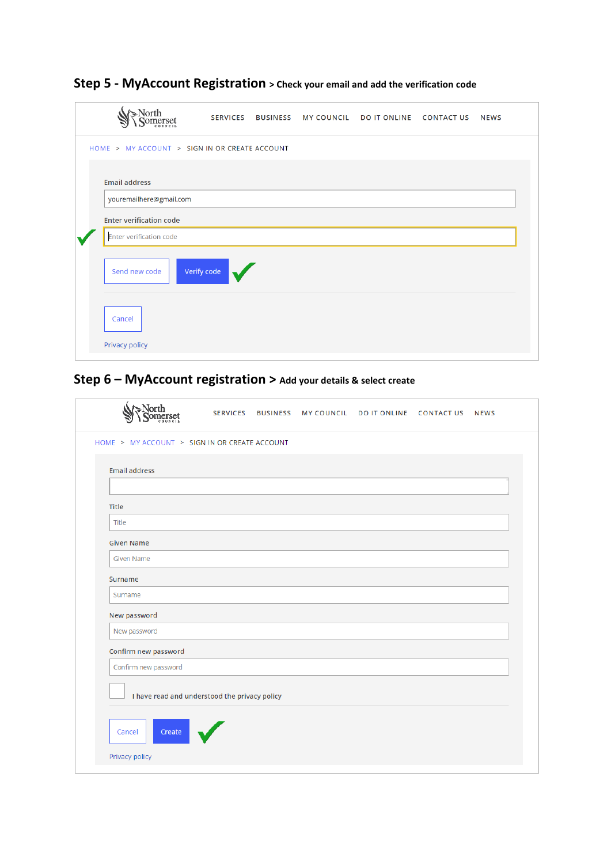| ≥North                                        | <b>SERVICES</b> | <b>BUSINESS</b> | <b>MY COUNCIL</b> | <b>DO IT ONLINE</b> | <b>CONTACT US</b> | <b>NEWS</b> |
|-----------------------------------------------|-----------------|-----------------|-------------------|---------------------|-------------------|-------------|
| HOME > MY ACCOUNT > SIGN IN OR CREATE ACCOUNT |                 |                 |                   |                     |                   |             |
| <b>Email address</b>                          |                 |                 |                   |                     |                   |             |
| youremailhere@gmail.com                       |                 |                 |                   |                     |                   |             |
| <b>Enter verification code</b>                |                 |                 |                   |                     |                   |             |
| <b>Enter verification code</b>                |                 |                 |                   |                     |                   |             |
| Send new code                                 | Verify code     |                 |                   |                     |                   |             |
| Cancel                                        |                 |                 |                   |                     |                   |             |
| Privacy policy                                |                 |                 |                   |                     |                   |             |

## **Step 5 - MyAccount Registration > Check your email and add the verification code**

## **Step 6 – MyAccount registration > Add your details & select create**

|                                               | SERVICES BUSINESS | <b>MY COUNCIL</b> | DO IT ONLINE CONTACT US NEWS |  |
|-----------------------------------------------|-------------------|-------------------|------------------------------|--|
| HOME > MY ACCOUNT > SIGN IN OR CREATE ACCOUNT |                   |                   |                              |  |
| <b>Email address</b>                          |                   |                   |                              |  |
|                                               |                   |                   |                              |  |
| Title                                         |                   |                   |                              |  |
| Title                                         |                   |                   |                              |  |
| <b>Given Name</b>                             |                   |                   |                              |  |
| <b>Given Name</b>                             |                   |                   |                              |  |
| Surname                                       |                   |                   |                              |  |
| Surname                                       |                   |                   |                              |  |
| New password                                  |                   |                   |                              |  |
| New password                                  |                   |                   |                              |  |
| Confirm new password                          |                   |                   |                              |  |
| Confirm new password                          |                   |                   |                              |  |
| I have read and understood the privacy policy |                   |                   |                              |  |
| Create<br>Cancel                              |                   |                   |                              |  |
| Privacy policy                                |                   |                   |                              |  |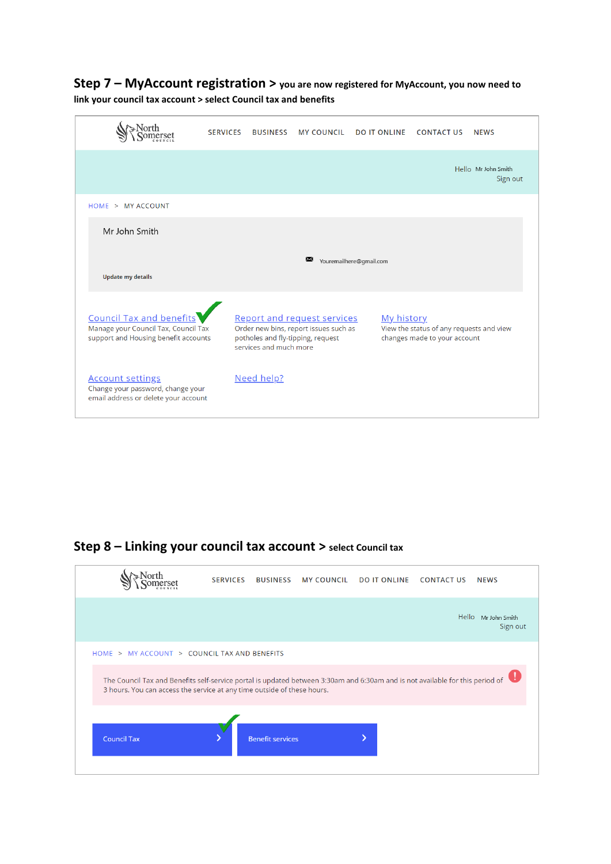### **Step 7 – MyAccount registration > you are now registered for MyAccount, you now need to link your council tax account > select Council tax and benefits**

|                                                                                                                 | <b>SERVICES</b> | <b>BUSINESS</b>        | <b>MY COUNCIL</b>                                                                                                | <b>DO IT ONLINE</b>     | <b>CONTACT US</b>                                                        | <b>NEWS</b>                     |
|-----------------------------------------------------------------------------------------------------------------|-----------------|------------------------|------------------------------------------------------------------------------------------------------------------|-------------------------|--------------------------------------------------------------------------|---------------------------------|
|                                                                                                                 |                 |                        |                                                                                                                  |                         |                                                                          | Hello Mr John Smith<br>Sign out |
| HOME > MY ACCOUNT                                                                                               |                 |                        |                                                                                                                  |                         |                                                                          |                                 |
| Mr John Smith                                                                                                   |                 |                        |                                                                                                                  |                         |                                                                          |                                 |
| <b>Update my details</b>                                                                                        |                 |                        | X                                                                                                                | Youremailhere@gmail.com |                                                                          |                                 |
| <b>Council Tax and benefits</b><br>Manage your Council Tax, Council Tax<br>support and Housing benefit accounts |                 | services and much more | <b>Report and request services</b><br>Order new bins, report issues such as<br>potholes and fly-tipping, request | My history              | View the status of any requests and view<br>changes made to your account |                                 |
| <b>Account settings</b><br>Change your password, change your<br>email address or delete your account            |                 | Need help?             |                                                                                                                  |                         |                                                                          |                                 |

## **Step 8 – Linking your council tax account > select Council tax**

|                                                                                                                                                                                                          | <b>SERVICES</b> | <b>BUSINESS</b>         | <b>MY COUNCIL</b> | <b>DO IT ONLINE</b> | <b>CONTACT US</b> | <b>NEWS</b>                     |
|----------------------------------------------------------------------------------------------------------------------------------------------------------------------------------------------------------|-----------------|-------------------------|-------------------|---------------------|-------------------|---------------------------------|
|                                                                                                                                                                                                          |                 |                         |                   |                     |                   | Hello Mr John Smith<br>Sign out |
| HOME > MY ACCOUNT > COUNCIL TAX AND BENEFITS                                                                                                                                                             |                 |                         |                   |                     |                   |                                 |
| The Council Tax and Benefits self-service portal is updated between 3:30am and 6:30am and is not available for this period of<br>3 hours. You can access the service at any time outside of these hours. |                 |                         |                   |                     |                   |                                 |
| <b>Council Tax</b>                                                                                                                                                                                       |                 | <b>Benefit services</b> |                   |                     |                   |                                 |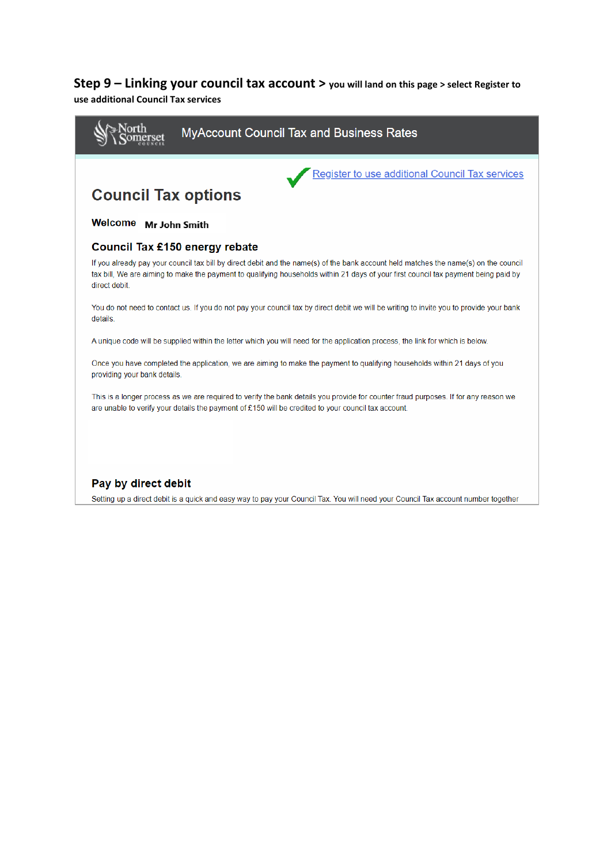### **Step 9 – Linking your council tax account > you will land on this page > select Register to**

#### **use additional Council Tax services**

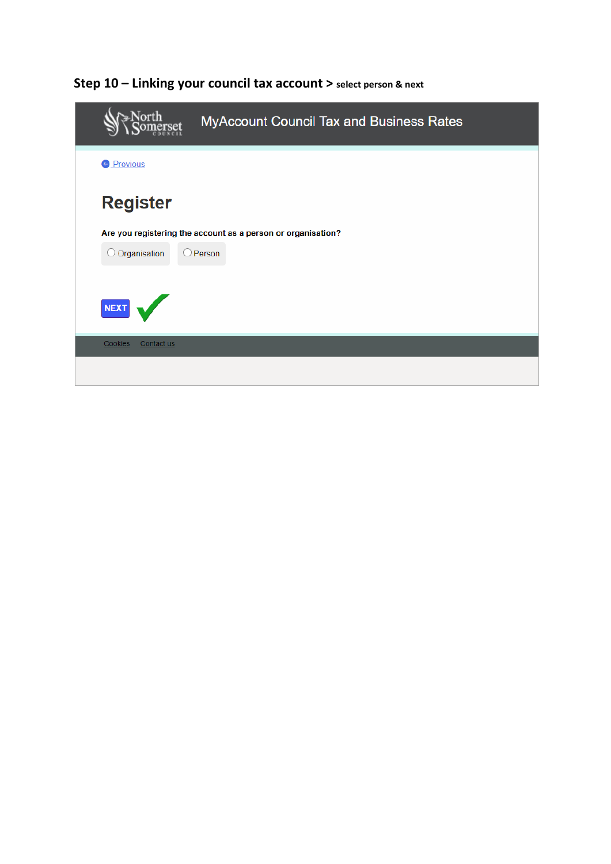| <b>MyAccount Council Tax and Business Rates</b>              |
|--------------------------------------------------------------|
| <b>O</b> Previous                                            |
| <b>Register</b>                                              |
| Are you registering the account as a person or organisation? |
| O Organisation<br>$\bigcirc$ Person                          |
| NEXT                                                         |
| <b>Cookies</b><br>Contact us                                 |
|                                                              |

# Step 10 - Linking your council tax account > select person & next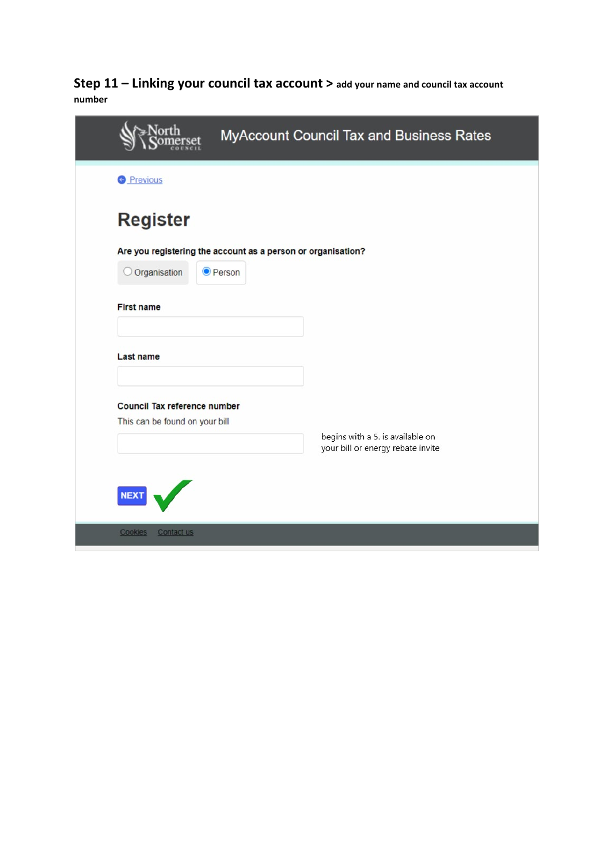### **Step 11 – Linking your council tax account > add your name and council tax account number**

|                                                                | MyAccount Council Tax and Business Rates                              |
|----------------------------------------------------------------|-----------------------------------------------------------------------|
| <b>O</b> Previous                                              |                                                                       |
| <b>Register</b>                                                |                                                                       |
| Are you registering the account as a person or organisation?   |                                                                       |
| Organisation<br><b>O</b> Person                                |                                                                       |
| <b>First name</b>                                              |                                                                       |
| Last name                                                      |                                                                       |
| Council Tax reference number<br>This can be found on your bill |                                                                       |
|                                                                | begins with a 5. is available on<br>your bill or energy rebate invite |
| <b>NEXT</b>                                                    |                                                                       |
|                                                                |                                                                       |
| Contact us<br>Cookies                                          |                                                                       |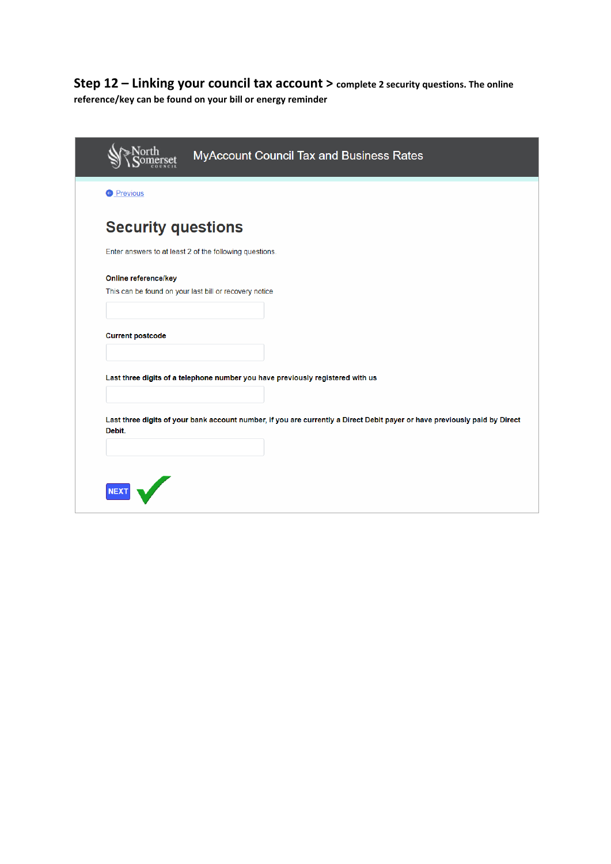### **Step 12 – Linking your council tax account > complete 2 security questions. The online reference/key can be found on your bill or energy reminder**

|                                                         | MyAccount Council Tax and Business Rates                                                                                   |
|---------------------------------------------------------|----------------------------------------------------------------------------------------------------------------------------|
| <b>O</b> Previous                                       |                                                                                                                            |
| <b>Security questions</b>                               |                                                                                                                            |
| Enter answers to at least 2 of the following questions. |                                                                                                                            |
| Online reference/key                                    |                                                                                                                            |
| This can be found on your last bill or recovery notice  |                                                                                                                            |
|                                                         |                                                                                                                            |
| <b>Current postcode</b>                                 |                                                                                                                            |
|                                                         |                                                                                                                            |
|                                                         | Last three digits of a telephone number you have previously registered with us                                             |
|                                                         |                                                                                                                            |
| Debit.                                                  | Last three digits of your bank account number, if you are currently a Direct Debit payer or have previously paid by Direct |
|                                                         |                                                                                                                            |
|                                                         |                                                                                                                            |
|                                                         |                                                                                                                            |
|                                                         |                                                                                                                            |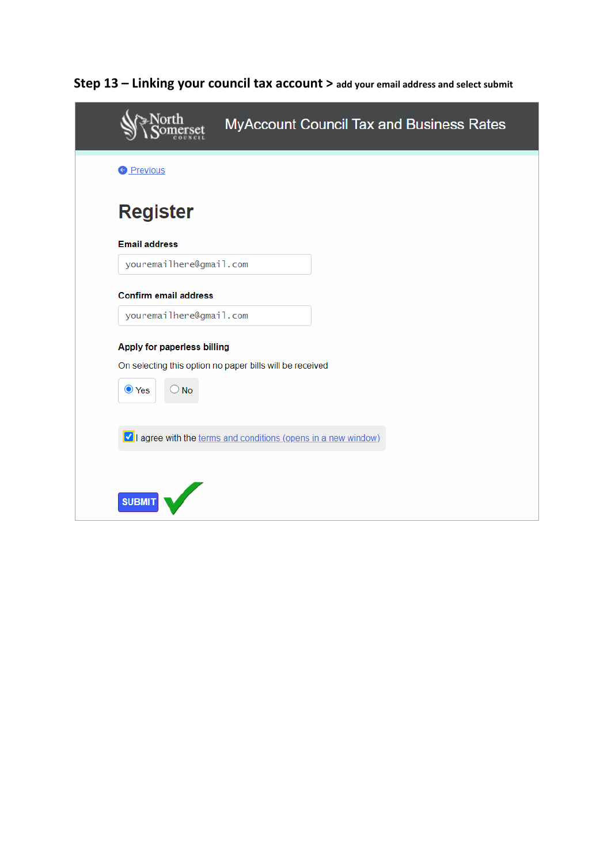|                                                          | <b>MyAccount Council Tax and Business Rates</b>                  |  |
|----------------------------------------------------------|------------------------------------------------------------------|--|
| <b>O</b> Previous                                        |                                                                  |  |
| <b>Register</b>                                          |                                                                  |  |
| <b>Email address</b>                                     |                                                                  |  |
| youremailhere@gmail.com                                  |                                                                  |  |
| <b>Confirm email address</b>                             |                                                                  |  |
| youremailhere@gmail.com                                  |                                                                  |  |
| Apply for paperless billing                              |                                                                  |  |
| On selecting this option no paper bills will be received |                                                                  |  |
| ● Yes<br>$\bigcirc$ No                                   |                                                                  |  |
|                                                          |                                                                  |  |
|                                                          | Mull agree with the terms and conditions (opens in a new window) |  |
|                                                          |                                                                  |  |
|                                                          |                                                                  |  |
| <b>SUBMIT</b>                                            |                                                                  |  |

**Step 13 – Linking your council tax account > add your email address and select submit**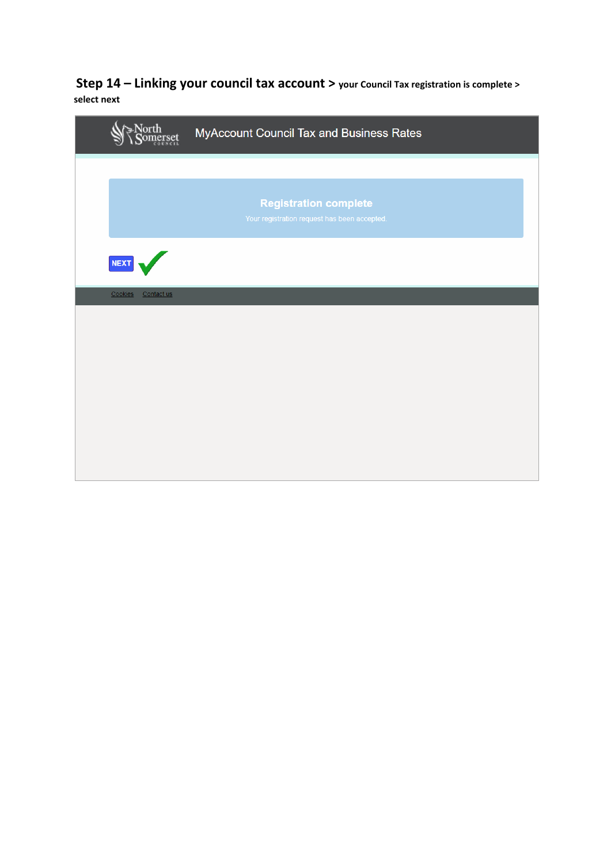**Step 14 – Linking your council tax account > your Council Tax registration is complete > select next**

|                       | MyAccount Council Tax and Business Rates                                     |
|-----------------------|------------------------------------------------------------------------------|
|                       |                                                                              |
|                       | <b>Registration complete</b><br>Your registration request has been accepted. |
| <b>NEXT</b>           |                                                                              |
| Cookies<br>Contact us |                                                                              |
|                       |                                                                              |
|                       |                                                                              |
|                       |                                                                              |
|                       |                                                                              |
|                       |                                                                              |
|                       |                                                                              |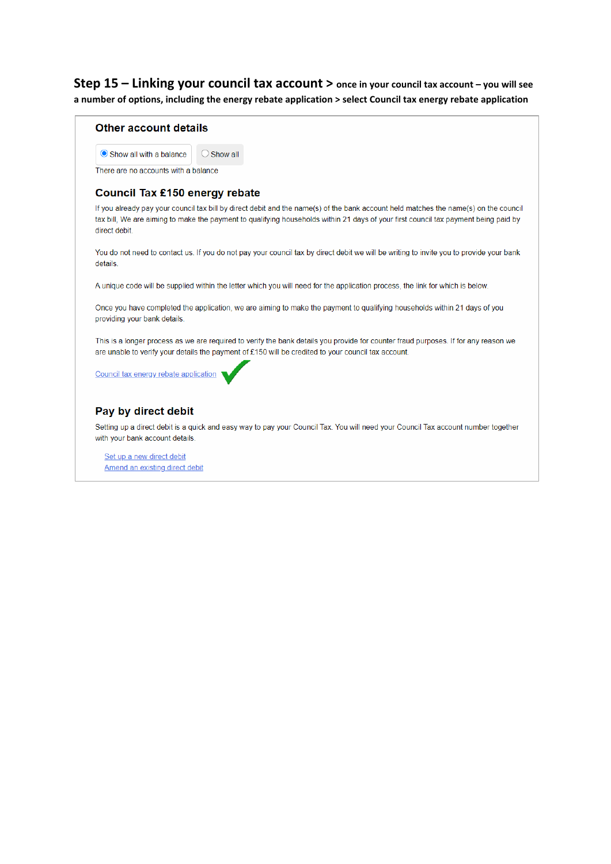Step 15 - Linking your council tax account > once in your council tax account - you will see a number of options, including the energy rebate application > select Council tax energy rebate application

#### Other account details

 $\bigcirc$  Show all Show all with a balance

There are no accounts with a balance

#### Council Tax £150 energy rebate

If you already pay your council tax bill by direct debit and the name(s) of the bank account held matches the name(s) on the council tax bill, We are aiming to make the payment to qualifying households within 21 days of your first council tax payment being paid by direct debit.

You do not need to contact us. If you do not pay your council tax by direct debit we will be writing to invite you to provide your bank details.

A unique code will be supplied within the letter which you will need for the application process, the link for which is below.

Once you have completed the application, we are aiming to make the payment to qualifying households within 21 days of you providing your bank details.

This is a longer process as we are required to verify the bank details you provide for counter fraud purposes. If for any reason we are unable to verify your details the payment of £150 will be credited to your council tax account.

Council tax energy rebate application

#### Pay by direct debit

Setting up a direct debit is a quick and easy way to pay your Council Tax. You will need your Council Tax account number together with your bank account details.

Set up a new direct debit Amend an existing direct debit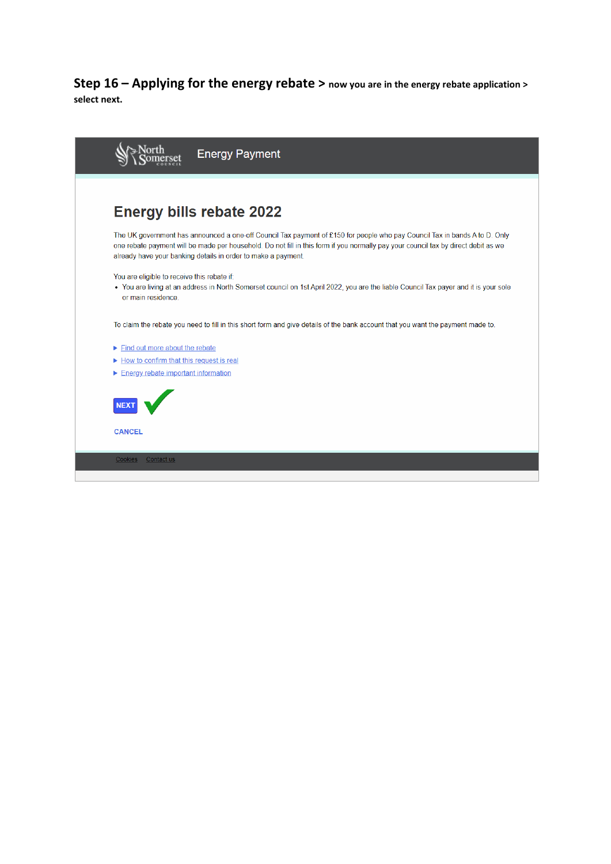**Step 16 – Applying for the energy rebate > now you are in the energy rebate application > select next.** 

| <b>Energy Payment</b>                                                                                                                                                                                                                                                                                                             |
|-----------------------------------------------------------------------------------------------------------------------------------------------------------------------------------------------------------------------------------------------------------------------------------------------------------------------------------|
|                                                                                                                                                                                                                                                                                                                                   |
| <b>Energy bills rebate 2022</b>                                                                                                                                                                                                                                                                                                   |
| The UK government has announced a one-off Council Tax payment of £150 for people who pay Council Tax in bands A to D. Only<br>one rebate payment will be made per household. Do not fill in this form if you normally pay your council tax by direct debit as we<br>already have your banking details in order to make a payment. |
| You are eligible to receive this rebate if:<br>• You are living at an address in North Somerset council on 1st April 2022, you are the liable Council Tax payer and it is your sole<br>or main residence.                                                                                                                         |
| To claim the rebate you need to fill in this short form and give details of the bank account that you want the payment made to.                                                                                                                                                                                                   |
| $\blacktriangleright$ Find out more about the rebate                                                                                                                                                                                                                                                                              |
| ► How to confirm that this request is real<br>Energy rebate important information                                                                                                                                                                                                                                                 |
|                                                                                                                                                                                                                                                                                                                                   |
| <b>CANCEL</b>                                                                                                                                                                                                                                                                                                                     |
| <b>Cookies</b><br>Contact us                                                                                                                                                                                                                                                                                                      |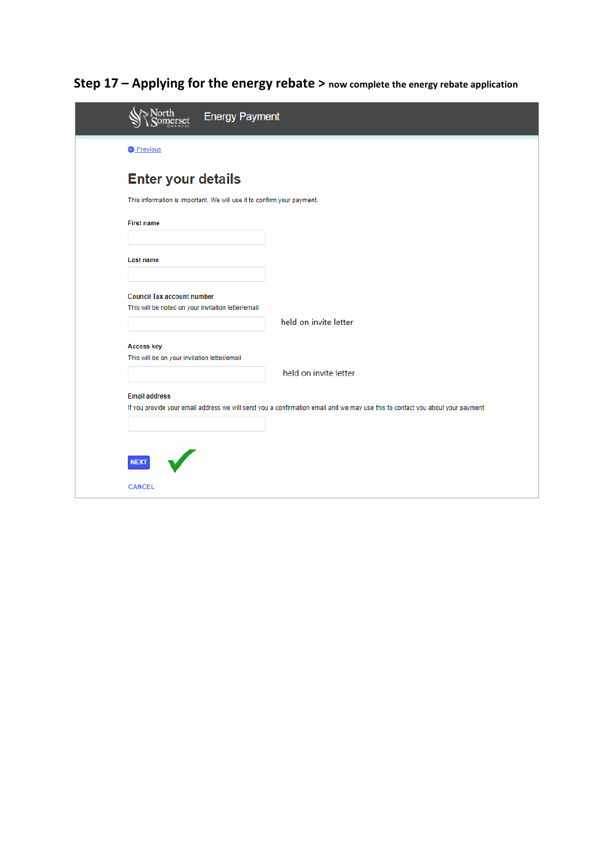|                                                                                         | <b>Energy Payment</b>                                                                                                         |  |
|-----------------------------------------------------------------------------------------|-------------------------------------------------------------------------------------------------------------------------------|--|
| <b>O</b> Previous                                                                       |                                                                                                                               |  |
| <b>Enter your details</b>                                                               |                                                                                                                               |  |
| This information is important. We will use it to confirm your payment.                  |                                                                                                                               |  |
| <b>First name</b>                                                                       |                                                                                                                               |  |
| <b>Last name</b>                                                                        |                                                                                                                               |  |
| <b>Council Tax account number</b><br>This will be noted on your invitation letter/email |                                                                                                                               |  |
|                                                                                         | held on invite letter                                                                                                         |  |
| <b>Access key</b><br>This will be on your invitation letter/email                       |                                                                                                                               |  |
|                                                                                         | held on invite letter                                                                                                         |  |
| <b>Email address</b>                                                                    | If you provide your email address we will send you a confirmation email and we may use this to contact you about your payment |  |
|                                                                                         |                                                                                                                               |  |
| <b>NEXT</b>                                                                             |                                                                                                                               |  |
| <b>CANCEL</b>                                                                           |                                                                                                                               |  |

**Step 17 – Applying for the energy rebate > now complete the energy rebate application**